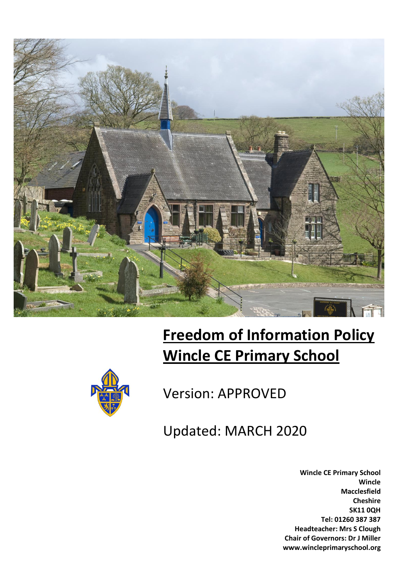

# **Freedom of Information Policy Wincle CE Primary School**



## Version: APPROVED

Updated: MARCH 2020

**Wincle CE Primary School Wincle Macclesfield Cheshire SK11 0QH Tel: 01260 387 387 Headteacher: Mrs S Clough Chair of Governors: Dr J Miller www.wincleprimaryschool.org**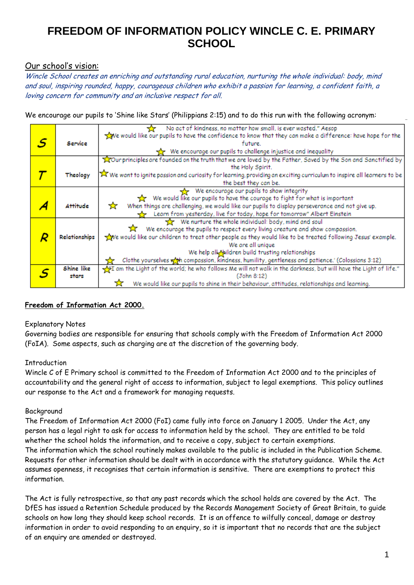#### Our school's vision:

Wincle School creates an enriching and outstanding rural education, nurturing the whole individual: body, mind and soul, inspiring rounded, happy, courageous children who exhibit a passion for learning, a confident faith, a loving concern for community and an inclusive respect for all.

We encourage our pupils to 'Shine like Stars' (Philippians 2:15) and to do this run with the following acronym:

|  |                 | No act of kindness, no matter how small, is ever wasted." Aesop                                                        |
|--|-----------------|------------------------------------------------------------------------------------------------------------------------|
|  |                 | we would like our pupils to have the confidence to know that they can make a difference: have hope for the             |
|  | Service         | future.                                                                                                                |
|  |                 | We encourage our pupils to challenge injustice and inequality                                                          |
|  |                 | Tour principles are founded on the truth that we are loved by the Father, Saved by the Son and Sanctified by           |
|  |                 | the Holy Spirit.                                                                                                       |
|  | Theology        | X We want to ignite passion and curiosity for learning, providing an exciting curriculum to inspire all learners to be |
|  |                 | the best they can be.                                                                                                  |
|  |                 |                                                                                                                        |
|  |                 | We encourage our pupils to show integrity                                                                              |
|  |                 | We would like our pupils to have the courage to fight for what is important                                            |
|  | <b>Attitude</b> | When things are challenging, we would like our pupils to display perseverance and not give up.<br>☆                    |
|  |                 | Learn from yesterday, live for today, hope for tomorrow" Albert Einstein                                               |
|  |                 | We nurture the whole individual: body, mind and soul                                                                   |
|  |                 | We encourage the pupils to respect every living creature and show compassion.                                          |
|  | Relationships   | we would like our children to treat other people as they would like to be treated following Jesus' example.            |
|  |                 | We are all unique                                                                                                      |
|  |                 | We help all highldren build trusting relationships                                                                     |
|  |                 |                                                                                                                        |
|  |                 | Clothe yourselves with compassion, kindness, humility, gentleness and patience.' (Colossians 3:12)                     |
|  | Shine like      | The tight of the world; he who follows Me will not walk in the darkness, but will have the Light of life."             |
|  | stars           | (John 8:12)                                                                                                            |
|  |                 | We would like our pupils to shine in their behaviour, attitudes, relationships and learning.                           |

#### **Freedom of Information Act 2000.**

#### Explanatory Notes

Governing bodies are responsible for ensuring that schools comply with the Freedom of Information Act 2000 (FoIA). Some aspects, such as charging are at the discretion of the governing body.

#### **Introduction**

Wincle C of E Primary school is committed to the Freedom of Information Act 2000 and to the principles of accountability and the general right of access to information, subject to legal exemptions. This policy outlines our response to the Act and a framework for managing requests.

#### Background

The Freedom of Information Act 2000 (FoI) came fully into force on January 1 2005. Under the Act, any person has a legal right to ask for access to information held by the school. They are entitled to be told whether the school holds the information, and to receive a copy, subject to certain exemptions. The information which the school routinely makes available to the public is included in the Publication Scheme. Requests for other information should be dealt with in accordance with the statutory guidance. While the Act assumes openness, it recognises that certain information is sensitive. There are exemptions to protect this information.

The Act is fully retrospective, so that any past records which the school holds are covered by the Act. The DfES has issued a Retention Schedule produced by the Records Management Society of Great Britain, to guide schools on how long they should keep school records. It is an offence to wilfully conceal, damage or destroy information in order to avoid responding to an enquiry, so it is important that no records that are the subject of an enquiry are amended or destroyed.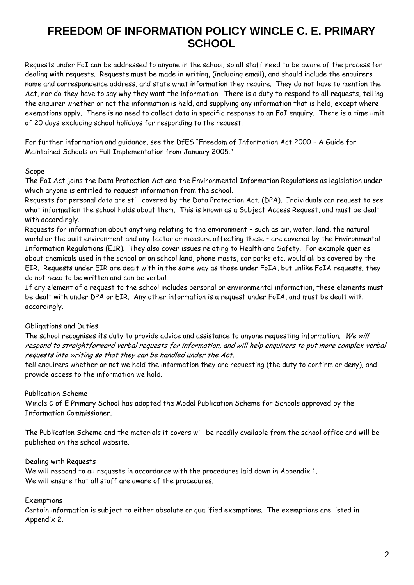Requests under FoI can be addressed to anyone in the school; so all staff need to be aware of the process for dealing with requests. Requests must be made in writing, (including email), and should include the enquirers name and correspondence address, and state what information they require. They do not have to mention the Act, nor do they have to say why they want the information. There is a duty to respond to all requests, telling the enquirer whether or not the information is held, and supplying any information that is held, except where exemptions apply. There is no need to collect data in specific response to an FoI enquiry. There is a time limit of 20 days excluding school holidays for responding to the request.

For further information and guidance, see the DfES "Freedom of Information Act 2000 – A Guide for Maintained Schools on Full Implementation from January 2005."

#### Scope

The FoI Act joins the Data Protection Act and the Environmental Information Regulations as legislation under which anyone is entitled to request information from the school.

Requests for personal data are still covered by the Data Protection Act. (DPA). Individuals can request to see what information the school holds about them. This is known as a Subject Access Request, and must be dealt with accordingly.

Requests for information about anything relating to the environment – such as air, water, land, the natural world or the built environment and any factor or measure affecting these – are covered by the Environmental Information Regulations (EIR). They also cover issues relating to Health and Safety. For example queries about chemicals used in the school or on school land, phone masts, car parks etc. would all be covered by the EIR. Requests under EIR are dealt with in the same way as those under FoIA, but unlike FoIA requests, they do not need to be written and can be verbal.

If any element of a request to the school includes personal or environmental information, these elements must be dealt with under DPA or EIR. Any other information is a request under FoIA, and must be dealt with accordingly.

#### Obligations and Duties

The school recognises its duty to provide advice and assistance to anyone requesting information. We will respond to straightforward verbal requests for information, and will help enquirers to put more complex verbal requests into writing so that they can be handled under the Act.

tell enquirers whether or not we hold the information they are requesting (the duty to confirm or deny), and provide access to the information we hold.

#### Publication Scheme

Wincle C of E Primary School has adopted the Model Publication Scheme for Schools approved by the Information Commissioner.

The Publication Scheme and the materials it covers will be readily available from the school office and will be published on the school website.

#### Dealing with Requests

We will respond to all requests in accordance with the procedures laid down in Appendix 1. We will ensure that all staff are aware of the procedures.

#### Exemptions

Certain information is subject to either absolute or qualified exemptions. The exemptions are listed in Appendix 2.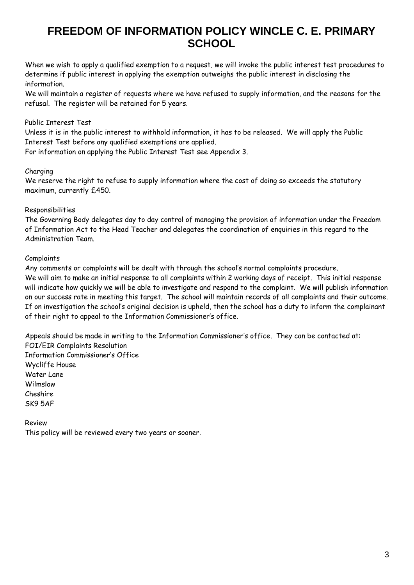When we wish to apply a qualified exemption to a request, we will invoke the public interest test procedures to determine if public interest in applying the exemption outweighs the public interest in disclosing the information.

We will maintain a register of requests where we have refused to supply information, and the reasons for the refusal. The register will be retained for 5 years.

#### Public Interest Test

Unless it is in the public interest to withhold information, it has to be released. We will apply the Public Interest Test before any qualified exemptions are applied.

For information on applying the Public Interest Test see Appendix 3.

#### Charging

We reserve the right to refuse to supply information where the cost of doing so exceeds the statutory maximum, currently £450.

#### Responsibilities

The Governing Body delegates day to day control of managing the provision of information under the Freedom of Information Act to the Head Teacher and delegates the coordination of enquiries in this regard to the Administration Team.

#### Complaints

Any comments or complaints will be dealt with through the school's normal complaints procedure. We will aim to make an initial response to all complaints within 2 working days of receipt. This initial response will indicate how quickly we will be able to investigate and respond to the complaint. We will publish information on our success rate in meeting this target. The school will maintain records of all complaints and their outcome. If on investigation the school's original decision is upheld, then the school has a duty to inform the complainant of their right to appeal to the Information Commissioner's office.

Appeals should be made in writing to the Information Commissioner's office. They can be contacted at: FOI/EIR Complaints Resolution Information Commissioner's Office Wycliffe House Water Lane Wilmslow Cheshire

SK9 5AF

Review This policy will be reviewed every two years or sooner.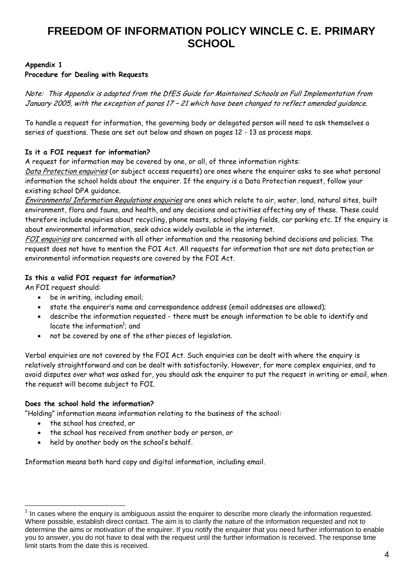#### **Appendix 1**

#### **Procedure for Dealing with Requests**

Note: This Appendix is adapted from the DfES Guide for Maintained Schools on Full Implementation from January 2005, with the exception of paras 17 – 21 which have been changed to reflect amended guidance.

To handle a request for information, the governing body or delegated person will need to ask themselves a series of questions. These are set out below and shown on pages 12 - 13 as process maps.

#### **Is it a FOI request for information?**

A request for information may be covered by one, or all, of three information rights:

Data Protection enquiries (or subject access requests) are ones where the enquirer asks to see what personal information the school holds about the enquirer. If the enquiry is a Data Protection request, follow your existing school DPA guidance.

Environmental Information Regulations enquiries are ones which relate to air, water, land, natural sites, built environment, flora and fauna, and health, and any decisions and activities affecting any of these. These could therefore include enquiries about recycling, phone masts, school playing fields, car parking etc. If the enquiry is about environmental information, seek advice widely available in the internet.

FOI enquiries are concerned with all other information and the reasoning behind decisions and policies. The request does not have to mention the FOI Act. All requests for information that are not data protection or environmental information requests are covered by the FOI Act.

#### **Is this a valid FOI request for information?**

An FOI request should:

- be in writing, including email;
- state the enquirer's name and correspondence address (email addresses are allowed);
- describe the information requested there must be enough information to be able to identify and locate the information<sup>1</sup>; and
- not be covered by one of the other pieces of legislation.

Verbal enquiries are not covered by the FOI Act. Such enquiries can be dealt with where the enquiry is relatively straightforward and can be dealt with satisfactorily. However, for more complex enquiries, and to avoid disputes over what was asked for, you should ask the enquirer to put the request in writing or email, when the request will become subject to FOI.

#### **Does the school hold the information?**

"Holding" information means information relating to the business of the school:

• the school has created, or

1

- the school has received from another body or person, or
- held by another body on the school's behalf.

Information means both hard copy and digital information, including email.

<sup>1</sup> In cases where the enquiry is ambiguous assist the enquirer to describe more clearly the information requested. Where possible, establish direct contact. The aim is to clarify the nature of the information requested and not to determine the aims or motivation of the enquirer. If you notify the enquirer that you need further information to enable you to answer, you do not have to deal with the request until the further information is received. The response time limit starts from the date this is received.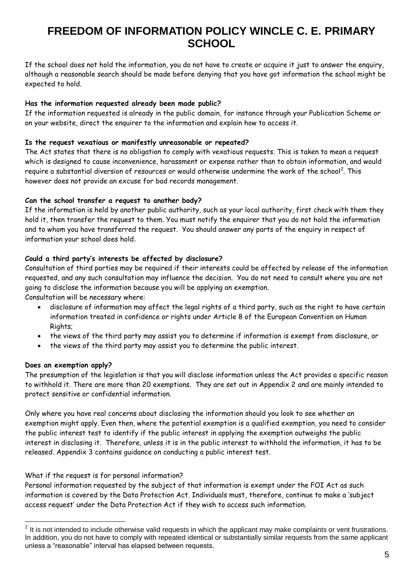If the school does not hold the information, you do not have to create or acquire it just to answer the enquiry, although a reasonable search should be made before denying that you have got information the school might be expected to hold.

#### **Has the information requested already been made public?**

If the information requested is already in the public domain, for instance through your Publication Scheme or on your website, direct the enquirer to the information and explain how to access it.

#### **Is the request vexatious or manifestly unreasonable or repeated?**

The Act states that there is no obligation to comply with vexatious requests. This is taken to mean a request which is designed to cause inconvenience, harassment or expense rather than to obtain information, and would require a substantial diversion of resources or would otherwise undermine the work of the school<sup>2</sup>. This however does not provide an excuse for bad records management.

#### **Can the school transfer a request to another body?**

If the information is held by another public authority, such as your local authority, first check with them they hold it, then transfer the request to them. You must notify the enquirer that you do not hold the information and to whom you have transferred the request. You should answer any parts of the enquiry in respect of information your school does hold.

#### **Could a third party's interests be affected by disclosure?**

Consultation of third parties may be required if their interests could be affected by release of the information requested, and any such consultation may influence the decision. You do not need to consult where you are not going to disclose the information because you will be applying an exemption.

Consultation will be necessary where:

- disclosure of information may affect the legal rights of a third party, such as the right to have certain information treated in confidence or rights under Article 8 of the European Convention on Human Rights;
- the views of the third party may assist you to determine if information is exempt from disclosure, or
- the views of the third party may assist you to determine the public interest.

#### **Does an exemption apply?**

1

The presumption of the legislation is that you will disclose information unless the Act provides a specific reason to withhold it. There are more than 20 exemptions. They are set out in Appendix 2 and are mainly intended to protect sensitive or confidential information.

Only where you have real concerns about disclosing the information should you look to see whether an exemption might apply. Even then, where the potential exemption is a qualified exemption, you need to consider the public interest test to identify if the public interest in applying the exemption outweighs the public interest in disclosing it. Therefore, unless it is in the public interest to withhold the information, it has to be released. Appendix 3 contains guidance on conducting a public interest test.

#### What if the request is for personal information?

Personal information requested by the subject of that information is exempt under the FOI Act as such information is covered by the Data Protection Act. Individuals must, therefore, continue to make a 'subject access request' under the Data Protection Act if they wish to access such information.

 $2$  It is not intended to include otherwise valid requests in which the applicant may make complaints or vent frustrations. In addition, you do not have to comply with repeated identical or substantially similar requests from the same applicant unless a "reasonable" interval has elapsed between requests.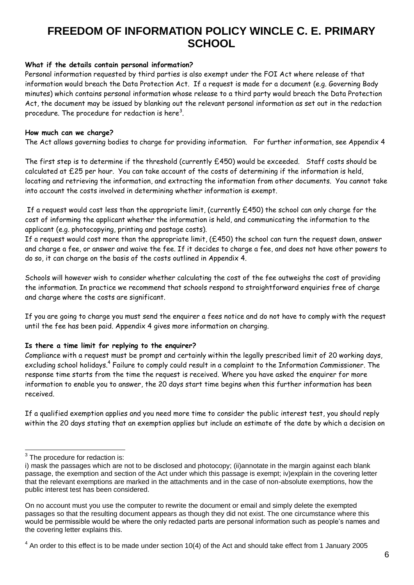#### **What if the details contain personal information?**

Personal information requested by third parties is also exempt under the FOI Act where release of that information would breach the Data Protection Act. If a request is made for a document (e.g. Governing Body minutes) which contains personal information whose release to a third party would breach the Data Protection Act, the document may be issued by blanking out the relevant personal information as set out in the redaction procedure. The procedure for redaction is here $^3$ .

#### **How much can we charge?**

The Act allows governing bodies to charge for providing information. For further information, see Appendix 4

The first step is to determine if the threshold (currently  $£450$ ) would be exceeded. Staff costs should be calculated at £25 per hour. You can take account of the costs of determining if the information is held, locating and retrieving the information, and extracting the information from other documents. You cannot take into account the costs involved in determining whether information is exempt.

If a request would cost less than the appropriate limit, (currently £450) the school can only charge for the cost of informing the applicant whether the information is held, and communicating the information to the applicant (e.g. photocopying, printing and postage costs).

If a request would cost more than the appropriate limit, (£450) the school can turn the request down, answer and charge a fee, or answer and waive the fee. If it decides to charge a fee, and does not have other powers to do so, it can charge on the basis of the costs outlined in Appendix 4.

Schools will however wish to consider whether calculating the cost of the fee outweighs the cost of providing the information. In practice we recommend that schools respond to straightforward enquiries free of charge and charge where the costs are significant.

If you are going to charge you must send the enquirer a fees notice and do not have to comply with the request until the fee has been paid. Appendix 4 gives more information on charging.

#### **Is there a time limit for replying to the enquirer?**

Compliance with a request must be prompt and certainly within the legally prescribed limit of 20 working days, excluding school holidays.<sup>4</sup> Failure to comply could result in a complaint to the Information Commissioner. The response time starts from the time the request is received. Where you have asked the enquirer for more information to enable you to answer, the 20 days start time begins when this further information has been received.

If a qualified exemption applies and you need more time to consider the public interest test, you should reply within the 20 days stating that an exemption applies but include an estimate of the date by which a decision on

<sup>&</sup>lt;u>.</u>  $3$  The procedure for redaction is:

i) mask the passages which are not to be disclosed and photocopy; (ii)annotate in the margin against each blank passage, the exemption and section of the Act under which this passage is exempt; iv)explain in the covering letter that the relevant exemptions are marked in the attachments and in the case of non-absolute exemptions, how the public interest test has been considered.

On no account must you use the computer to rewrite the document or email and simply delete the exempted passages so that the resulting document appears as though they did not exist. The one circumstance where this would be permissible would be where the only redacted parts are personal information such as people's names and the covering letter explains this.

 $4$  An order to this effect is to be made under section 10(4) of the Act and should take effect from 1 January 2005